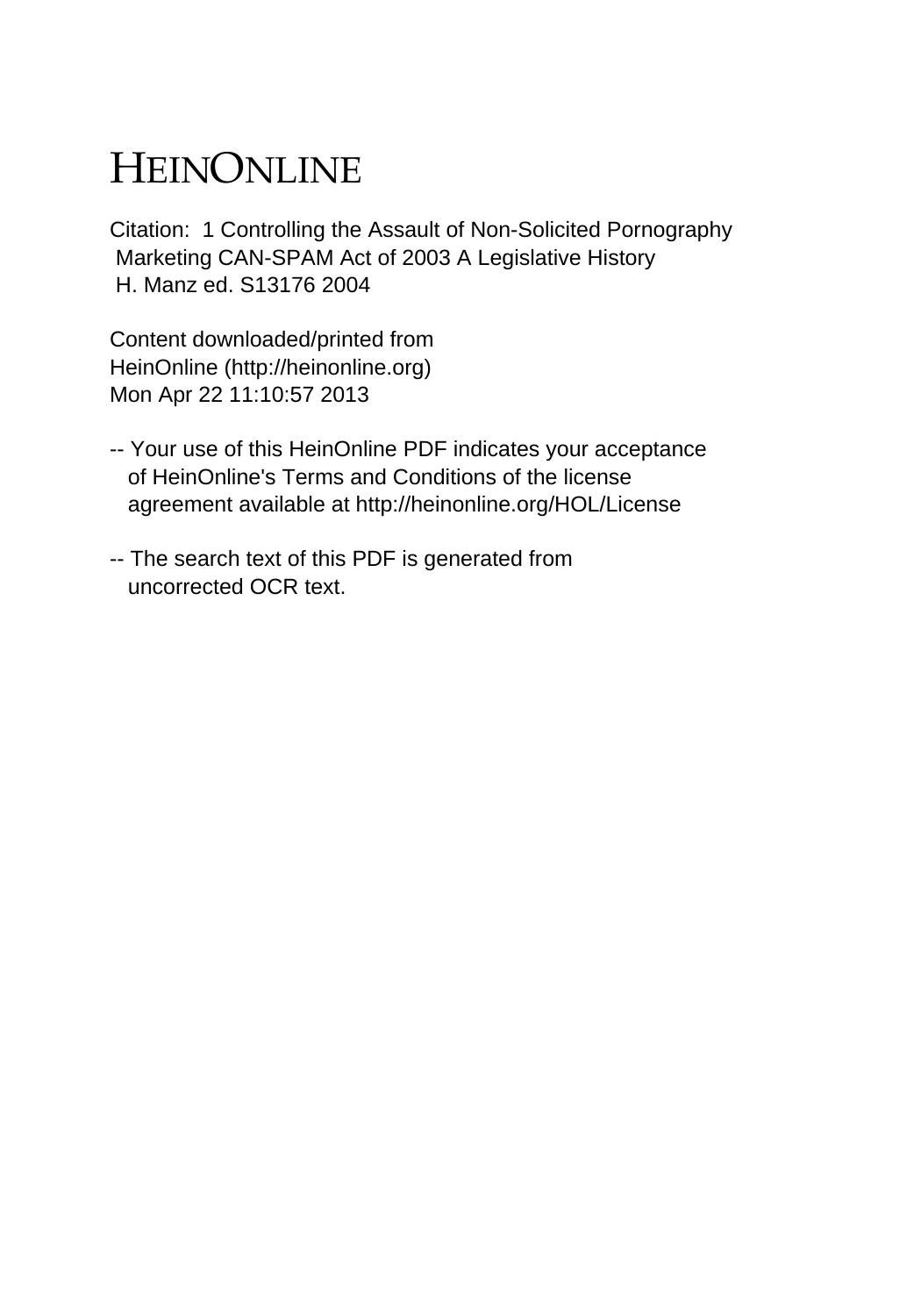# HEINONLINE

Citation: 1 Controlling the Assault of Non-Solicited Pornography Marketing CAN-SPAM Act of 2003 A Legislative History H. Manz ed. S13176 2004

Content downloaded/printed from HeinOnline (http://heinonline.org) Mon Apr 22 11:10:57 2013

- -- Your use of this HeinOnline PDF indicates your acceptance of HeinOnline's Terms and Conditions of the license agreement available at http://heinonline.org/HOL/License
- -- The search text of this PDF is generated from uncorrected OCR text.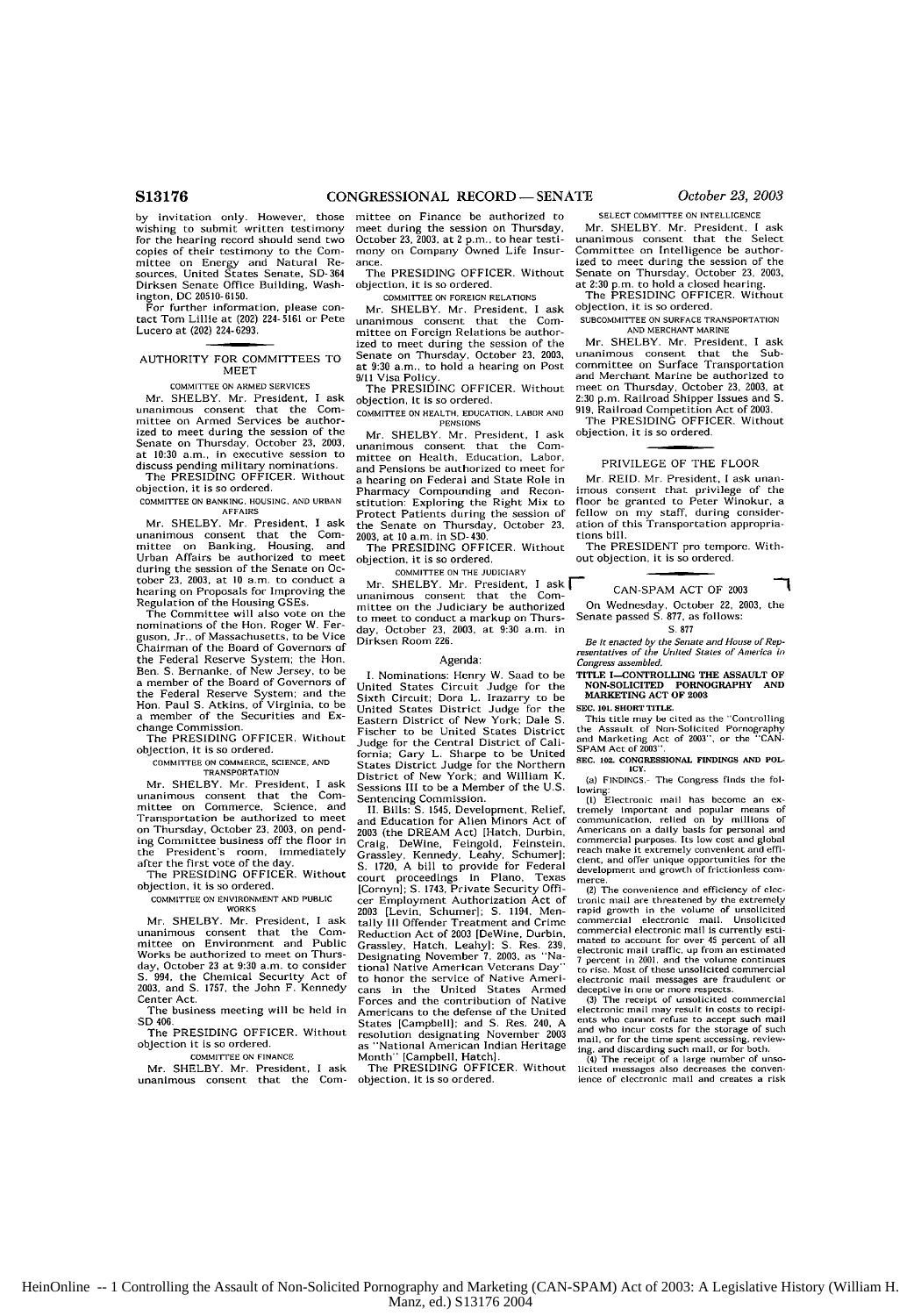by invitation only. However, those wishing to submit written testimony for the hearing record should send two copies of their testimony to the Com mittee on Energy and Natural Re-sources, United States Senate. SD-364 Dirksen Senate Office Building, Wash-

ington, DC 20510-6150. For further information, please contact Tom Lillie at (202) 224- 5161 or Pete Lucero at (202) 224-6293.

#### AUTHORITY FOR COMMITTEES TO MEET

**tOMMITTEE** ON ARMED SERVICES

Mr. SHELBY. Mr. President, I ask unanimous consent that the Committee on Armed Services be authorized to meet during the session of the Senate on Thursday, October **23,** 2003, at 10:30 a.m., in executive session to discuss pending military nominations. The PRESIDING OFFICER. Without

objection, it is so ordered.

**COMMITTEE ON BANKING.** HOUSING. **AND URBAN**

AFFAIRS<br>Mr. SHELBY. Mr. President, I ask<br>unanimous consent that the Com-<br>mittee on Banking, Housing, and<br>Urban Affairs be authorized to meet during the session of the Senate on **Oc-**tober **23, 2003,** at 10 a.m. to conduct a hearing on Proposals for Improving the Regulation of the Housing GSEs.

The Committee will also vote on the nominations of the Hon. Roger W. Ferguson, Jr.. of Massachusetts, to be Vice Chairman of the Board of Governors of the Federal Reserve System. the Hon. Ben. S. Bernanke, of New Jersey, to be a member of the Board of Governors **of** the Federal Reserve System; and the Hon. Paul S. Atkins, of Virginia, to be a member of the Securities and Exchange Commission.

The PRESIDING OFFICER, Without objection, it is so ordered.

#### COMMITTEE ON COMMERCE, SCIENCE, **AND TRANSPORTATION**

Mr. SHELBY. Mr. President, I ask unanimous consent that the Com-mittee on Commerce, Science, and Transportation be authorized to meet on Thursday, October **23,** 2003, on pending Committee business off the floor In the President's room, immediately after the first vote of the day. The PRESIDING OFFICER. Without

objection, it is so ordered. COMMITTEE **ON ENVIRONMENT AND PUBLIC**

WORKS

Mr. SHELBY. Mr. President, I ask unanimous consent that the Com-mittee on Environment and Public Works be authorized to meet on Thurs-<br>day, October 23 at 9:30 a.m. to consider day, October **23** at **9:30** a.m. to consider **S.** 994, the Chemical Security Act of **2003,** and **S.** 1757, the John F. Kennedy Center Act.

The business meeting will be held in SD 406,

The PRESIDING OFFICER. Without objection it is so ordered.

COMMITTEE **ON FINANCE**

Mr. SHELBY. Mr. President, I ask unanimous consent that the Con-

mittee on Finance be authorized to SELECT COMMITTEE ON INTELLIGENCE meet during the session on Thursday. Mr. SHELBY. Mr. President. I ask meet during the session on Thursday, October 23, 2003, at 2 p.m., to hear testimany on Company Owned Life Insur-October 23, **2003,** at 2 p.m,, to hear testi- unanimous consent that the Select mony on Company Owned Life Insur- Committee on Intelligence be author-

Mr. SHELBY. Mr. President, I ask objection, it is so ordered.<br>unanimous consent that the Com-<br>subcommuttee on subsect that the Committee on Foreign Relations be author-<br>ized to meet during the session of the Mr. SHELBY. Mr. President, I ask Senate on Thursday, October 23, 2003, at 9:30 a.m., to hold a hearing on Post 91.00 and Merchant Merchant Merchant Merchant Marine be authorized to the PRESIDING OFFICER. Without

COMMITTEE ON HEALTH, EDUCATION, LABOR AND 919, Railroad Competition Act of 2003.<br>The PENSIONS Officer. Without<br>Me Super Description Lask Objection. It is so ordered. Mr. SHELBY. Mr. President, I ask

unanimous consent that the Com-mittee on Health, Education, Labor, and Pensions be authorized to meet for PRIVILEGE OF **THE** FLOOR a hearing on Federal and State Role in stitution: Exploring the Right Mix to<br> **Pharmacy** Compounding and Reconstitution: Exploring the Right Mix to<br> **Protect Patients during the session of** the Senate on Thursday, October **23,** ation of this Transportation appropria-**2003,** at **10** a.m. in SD-430, tions bill.

**COMMITTEE ON THE JUDICIARY**

Mr. SHELBY. Mr. President,  $I_{\text{ask}}$  CAN-SPAM ACT OF 2003 unanimous consent that the Comto meet to conduct a markup on Thurs-<br>day. October 23, 2003, at 9:30 a.m. in **S.** 877, as follows: day, October 23, 2003, at 9:30 a.m. in<br>Dirksen Room 226.

Sixth Circuit: Dora L. Irazarry to be MARKETING ACT OF **2003** United States District Judge for the **SEC. 1i. SHORTTiILE.** Fischer to be United States District<br>Fischer to be United States District<br>Judge for the Central District of California; Gary L. Sharpe to be United<br>States District Judge for the Northern District of New York; and William K. (a) FINDINGS. The Congress finds the fol-Sessions III to be a Member of the U.S. Sessions III to be a Member of the U.S. lowing:<br>Sentencing Commission. (I) Electronic mail has become an ex-<br>Sentencing Commission. The commission of the immortant and popular means of

Grassley, Kennedy, Leahy, Schumer]: reach make it extremely convenient and effi-<br>Grassley, Kennedy, Leahy, Schumer]: cient, and offer unique opportunities for the<br>S. 1720, A bill to provide for Federal development and grow court proceedings in Piano, Texas merte. [Cornyn]; **S.** 1743, Private Security **Offi-** (2) The convenience and efficiency **of** trerto honor the service of Native Ameri- electronic mail messages are fraudulent or cans in the United States Armed deceptive in one or more respects. Forces and the contribution of Native **(3)** The receipt **of** unsolicited commercial Americans to the defense of the United electronic mail may result in costs to retipi-Americans to the defense of the United electronic mail may result in costs to recipi-<br>States [Campbell]; and S. Res. 240, A ents who cannot refuse to accept such mail<br>and who incur costs for the storage of such States [Campbell], and S. Ness. 200, The and who incur costs for the storage of such resolution designating November 2003 and l, or for the time spent accessing, review-<br>as "National American Indian Heritage ing, and disca

ized to meet during the session of the<br>The PRESIDING OFFICER. Without Senate on Thursday, October 23, 2003,<br>bbjection, it is so ordered. at 2:30 p.m. to hold a closed hearing.<br>committee on foreign relations are the PRESIDI

unanimous consent that the Com- **SUBCOMMITTEE ON SURFACE** TRANSPORTATION

ized to meet during the session of the Mr. SHELBY. Mr. President, I ask<br>Senate on Thursday, October 23, 2003, unanimous, consent, that, the Subat 9:30 a.m., to hold a hearing on Post committee on Surface Transportation<br>at 9:30 a.m., to hold a hearing on Post committee on Surface Transportation<br>9/11 Visa Policy. and Merchant Marine be authorized to The PRESIDINC OFFICER. Without - meet on Thursday, October 23, 2003, at -<br>objection, it is so ordered.<br>соммиттев ом нвл.гн, воυслтюм, глвов лиц. 9.19. Railroad Competition Act of 2003.

imous consent that privilege of the<br>floor be granted to Peter Winokur, a From the session of this during consideration of this Transportation appropria-

The PRESIDING OFFICER. Without The PRESIDENT pro tempore. With-<br>objection, it is so ordered. out objection, it is so ordered.

On Wednesday, October 22, 2003, the Senate passed S. 877, as follows:

٦

Be it enacted by the Senate and House of Rep**resentatives of the United States of America** *i***,<br>** *resentatives of the United States of America ii***<br>** *Congress assembled,* 

I. Nominations: Henry W. Saud to be TITLE I-CONTROLLING **THE** ASSAULT OF United States Circuit Judge for the **NON-SOLICITED** PORNOGRAPHY **AND**

Eastern District of New York; Dale S. This title may be cited as the "Controlling Judge for the Central District of Cali- and Marketing Act of **2003Y,** or the **"CAN-**

SEC. 102. CONGRESSIONAL FINDINGS AND POLECY.

II. Bills: S. 1545, Development, Relief, tremely important and popular means of<br>and Education for Alien Minors Act of communication, relied on by millions of<br>2003 (the DREAM Act) [Hatch, Durbin, Americans on a daily basis

cer Employment Authorization Act of tronic mail are threatened by the extremely<br>2003 [Levin, Schumer]; S. 1194, Men- rapid growth in the volume of unsolicited<br>tailly III Offender Treatment and Crime commercial electronic m Example in School (DeWine, Durbin, commercial electronic mail is currently esti-<br>Grassley, Hatch, Leahyl: S. Res. 239, mated to account for over 45 percent of all<br>Designating November 7, 2003, as "Na- 7 percent in 2001, an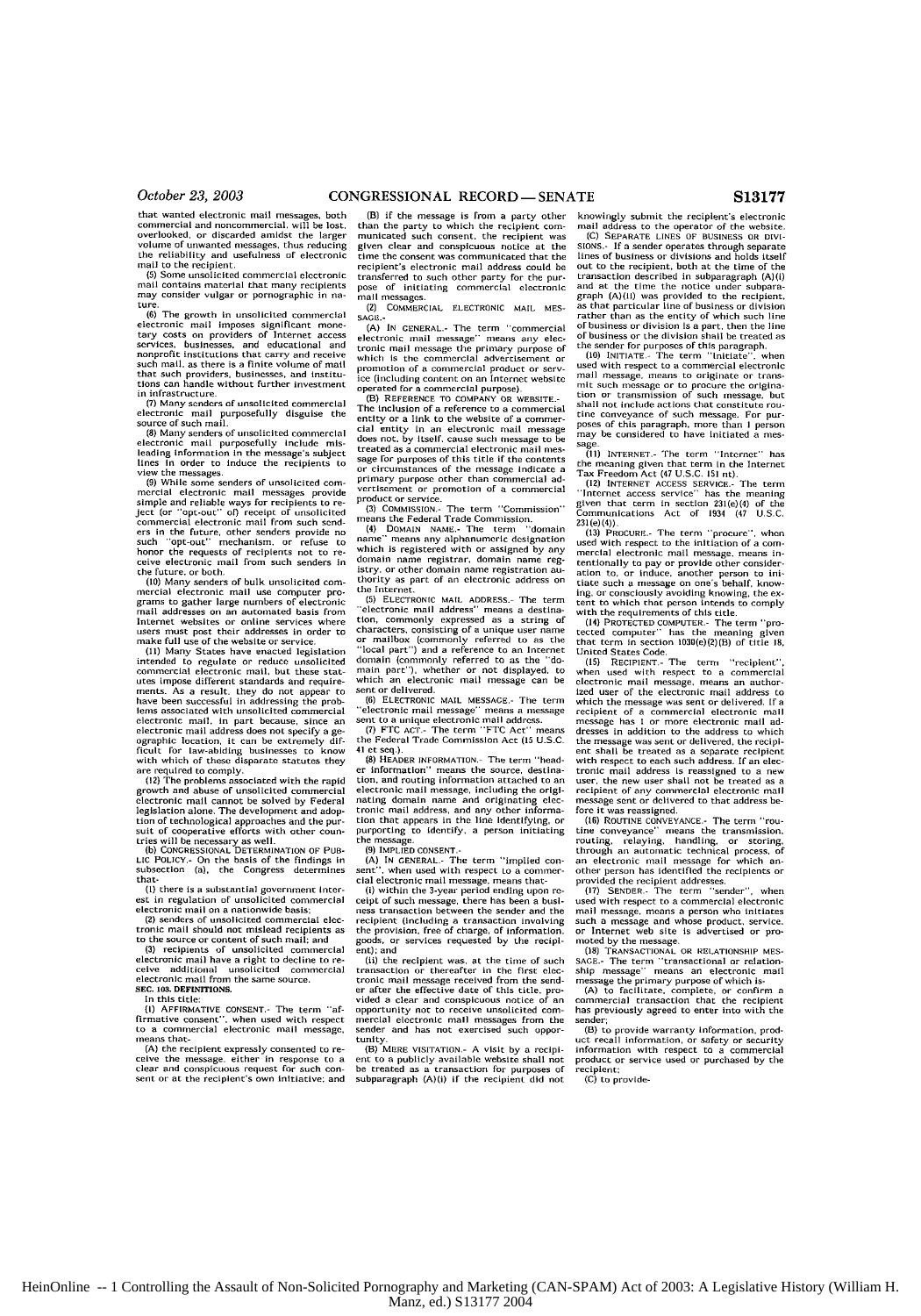that wanted electronic mail messages, both<br>commercial and noncommercial, will be lost,<br>overlooked, or discarded amidst the larger volume **of** unwanted messages, thus reducing the reliability and usefulness or electronic mail to **the** recipient. **(5)** Some unsolicited commercial electronic

mail contains material that many recipients may consider vulgar or pornographic in na-

ture.<br> **(6)** The growth in unsolicited commercial electronic mail imposes significant mone-<br>tary costs on providers of Internet access<br>services, businesses, and educational and<br>onoprofic institutions that carry and receive<br>such mail, as there is a finite volume of mail<br>th

in infrastructure.<br>- (7) Many senders of unsolicited commercial<br>electronic -mail -purposefully -disguise -the

source of such mail.<br>**(8) Many senders of unsolicited commercial**<br>electronic mail purposefully include mis-<br>leading information in the message's subject lines In order to Induce the recipients to

view the messages<br>(9) While some senders of unsolicited com-<br>mercial electronic mail messages provide<br>simple and reliable ways for recipients to re-<br>let (or "opt-out" of) receipt of unsolicited<br>commercial electronic mail f ers in the future, other senders provide no<br>such "opt-out" mechanism, or refuse to honor the requests of recipients not to re-ceive electronic mail from such senders In

the future, or **both (10)** Many senders of bulk unsolicited commercial electronic mail use computer pro- grams to gather large numbers of electronic

mail addresses on an automated basis from<br>Internet websites or online services where must post their addresses in order to<br>users must post their addresses in order to<br>make full use of the website or service.<br>(ii) Many Stat ments. As a result, they do not appear to have been successful in addressing the prob-lems associated with unsolicited commercial electronic mail, in part because, since an electronic mail address does not specify a geographic location, it can be extremely dif-<br>ficult for law-abiding businesses to know<br>with which of these disparate statutes they

are required to comply. **(12)** The problems associated with the rapid growth and abuse **of** unsolicited commercial electronic mail cannot **be** solved **by** Federal legislation alone. The development and adoption of technological approaches and the pur-<br>tion of technological approaches and the pur-<br>suit of cooperative efforts with other countries will be necessary as well. **(b)** CONGRESSiONAL **DETERMINATION** OF **PUB-**

**LIC** POLICY.- On the basis of the findings in subsection (a), the Congress determines that-

**(I)** there is a substantial government Interest in regulation of unsolicited commercial<br>electronic mail on a nationwide basis;

**(2)** snders of unsolicited commercial nlectronic mail should not mislead recipients as<br>to the source or content of such mail; and<br>(3) recipients of unsolicited commercial

**(3)** recipients of unsolicited commercial electronic mail have a right to decline to re-**ceive** additional unsolicited commercial electronic mail from the same source.

**SEC. 103. DEFINITIONS.**

In this title:<br>(I) AFFIRMA

**(I)** AFFIRMATIVE CONSENT.- The term "affirmative consent", when used with respect to a commercial electronic **mail** message, means that-

**(A)** the recipient expressly consented to receive the message, either in response to a clear and conspicuous request for such con- sent oi at the reciplient's own initiative; and

(B) if the message is from a party other than the party *to* which the recipient com-municated such consent, the recipient was given clear and conspicuous notice at the time the consent was communicated that the recipient's electronic mail address could **be** transferred to such other party for the purpose of initiating commercial electronic

mal I messages. **(2)** COMMERCIAL **ELECTRONIC** MAIL **MES-SAGE.-**

**(A)** IN **CENERAL.-** The term "commercial electronic mail message" means any elec-tronic mail message the primary purpose of which Is the commercial advertisement **or** promolin of a commercial product or serv-ice (includiig content on an Internet webslte operated for a commercial purpose) **(B)** REFERENCE TO COMPANY OR WEBSITE.-

The inclusion of a reference to a commercial entity or a link to the website of a commer cial entity In an electronic mail mesage does not. **by** itself, cause such message to be treated as a commercial electronic mail message for purposes of this title if the contents or circumstances of the message indicate a primary purpose other than commercial **ad**vertisement or promotion of a commercial

product or service.<br>- (3) Commission - The term ''Commission<br>means the Federal Trade Commission.

(4) DOMAIN NAME.- The term "domain name" means any alphanumeric designation which is registered with or assigned **by** any domain name registrar, domain name reg-istry, or other domain name registration **au**thority as part of an electronic address on the Internet.<br>(5) FURCTRONIC MAIL ADDRESS - The term

(5) ELECTRONIC MAIL ADDRESS.- The term<br>"electronic mail address" means a destina-<br>tion, commonly expressed as a string of<br>characters, consisting of a unique user name<br>or mailbox (commonly referred to as the<br>"local part") a domain (commonly referred to as the "domain part"), whether or not displayed, to which an electronic mail message can **be**

sent or delivered. **(6) ELECTRONIC** MAIL **MESSAGE.-** The term "electronic mail message" means a message sent to a unique electronic mail address. **(7)** FTC **ACT.-** The term "FTC Act" means

the Federal Trade Commission Act **(I5 U.S.C.** 41 et **seq.).**

**(8)** HEADER INFORMATION- The term "header information" means the source, destinatin, and routing information attached to an electronic mail message, including the origi-nating domain name and originating electronic mail address, and any other informa-tion that appears in the line Identifying, or purporting to Identify, a person initiating the message. **(9)** IMPLIED **CONSENT.-**

(A) IN CENERAL.- The term "implied con-<br>nt", when used with respect to a commer-

sent", when used with respect to a commercial electronic mail message, means that<br>(i) within the 3-year period ending upon receipt of such message, there has been a busl-<br>ness transaction between the sender and the<br>ness tr recipient (including a transaction involving the provision, free of charge, of information, goods, or services requested **by** the recipient); and

(ii) the recipient was, at the time of such transaction or thereafter in the first electronic mail message received from the send-<br>er after the effective date of this title, provided a clear and conspicuous notice of an opportunity not to receive unsolicited commercial electronic mail messages from the sender and has not exercised such opportunity.<br>(B) MERE VISITATION.- A visit by a recipi-

ent to a publicly available website shall not be treated as a transaction for purposes of subparagraph (A)(i) if the recipient did not knowingly **submit** the recipient's electronic mail address to the operator of the website, (C) SEPARATE **LINES** OF **BUSINESS OR DIV[-**

**SIONS.-** If a sender operates through separate lines of business or divisions and holds itself out to the recipient, both at the time of the transaction described in subparagraph (A(i) and at the time the notice under subparagraph (A)(ii) was provided to the recipient, as that particular line of business or division rather than as the entity of which such line of business or division Isa part, then the line of business or the division shall be treated as

the sender for purposes of this paragraph. **(10)** INITIATE- The term "initiate". when used with respect to a commercial electronic mail message, means to originate or trans-wit such message or to procure the origina-tion or transmission of such message, **but** shall not include actions that constitute rou tine conveyance of such message. For punposes of this paragraph, more than I person may be considered to have Initiated a mes-

sage **(11)** INTERNET- The term ''Internet' has the meaning given that term in the Interne<br>Tax Freedom Act (47 U.S.C. 151 nt).

(I2) INTERNET **ACCESS** SERVICE,- The term 'Internet access service" has the meaning given that term in section 231(e)04) of the Communications Act of 1934 (47 **U.S.C,**

(23)(e)(4)), (e)(1)(e)(1)(e)(1)(e)(1)(e)(1)(e)(1)(e)(1)(e)(1)(e)(1)(e)(1)(e)(1)(e)(1)(e)(1)(e)(1)(e)(1)(e)(1)(e)(1)(e)(1)(e)(1)(e)(1)(e)(1)(e)(1)(e)(1)(e)(1)(e)(1)(e)(1)(e)(1)(e)(1)(e)(1)(1)(1)(i)(1)(i)(1)(i)(1)(i)(i)(i)(i with the requirements of this title.

(14) PROTECTED COMPUTER.- The term "protected computer" has the meaning given<br>tected computer" has the meaning given<br>that term in section 1030(e)(2)(B) of title 18,

United States Code.<br>**(15)** RECIPIENT.- The term 'recipient'',<br>when used with respect to a commercial electronic mail message, means an authorized user of the electronic mail address to which the message was sent or delivered, If a recipient of a commercial electronic mail message has I or more electronic mail addresses in addition to the address to which the message was sent or delivered, the recipi-<br>ent shall be treated as a separate recipient<br>with respect to each such address. If an electronic mail address is reassigned to a new user, the new user shall not be treated as a recipient of any commercial electronic mall message sent or delivered to that address be

for it was reassigned.<br>
(if) Rouring convey ANCE. The term "rou-<br>
time convey ance" means the transmission,<br>
couting, relaying, handling, or storing,<br>
through an automatic technical process, of<br>
an electronic mail message provided the recipient addresses, **(17) SENDER.-** The term "sender", when

used with respect to a commercial electronic mail message, means a person who initiates such a message and whose product, service. or Internet **web** site is advertised or promoted by the message.<br>(18) TRANSACTIONAL OR RELATIONSHIP MES-

(18) TRANSACTIONAL OR RELATIONSHIP MESSACE-The term "transactional or relation-<br>ship message" means an electronic mail<br>message in primary purpose of which is-<br>(A) to facilitate, complete, or confirm a<br>commercial transactio

sender;

**(B)** to provide warranty information, prod oct recall information, or safety or security information with respect to a commercial product or service used or purchased **by** the recipient: **(C)** to provide-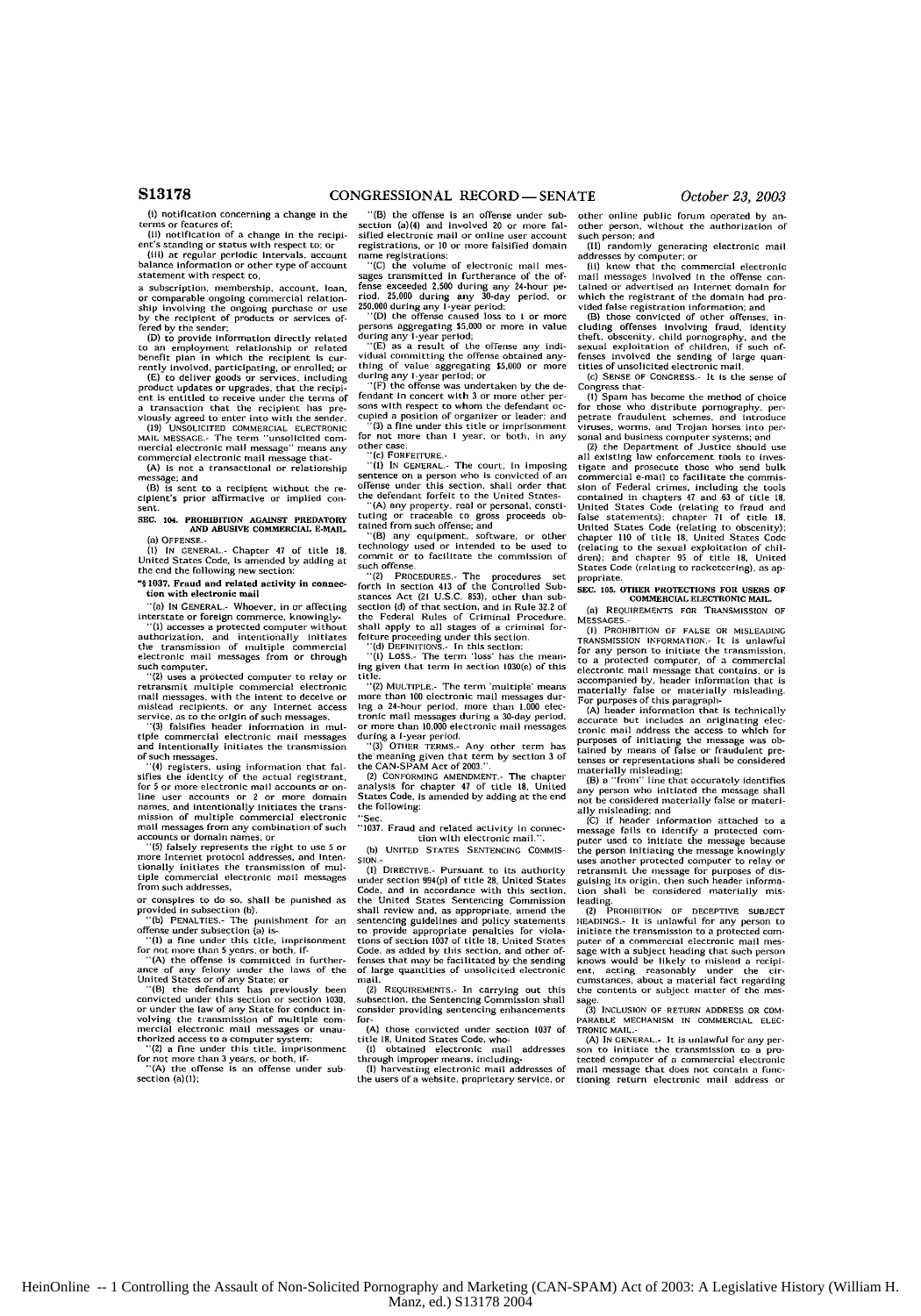(i) notification concerning a change in **the** terms or features **of:** (ii) notification of a change in the recipi-

ent's standing or status with respect to; or (iii) at regular periodic Intervals, account balance information or other type of account statement with respect to,

a subscription. membership, account. loan a subscription, includersing, account, ioan,<br>or comparable ongoing commercial relation-<br>ship involving the ongoing purchase or use ship involving the ongoing purchase or use **by** the recipient of products or services offered by the sender:

(D) to provide Information directly related to an employment relationship or related benefit plan **in** which the recipient is cur-

rently involved, participating, or enrolled; or **(E)** to deliver goods or services. including product updates or upgrades, that the recipiant is entitled to receive under the terms of a transaction that the recipient **has** previously agreed to enter into with the sender. (19) **UNSOLICITED** COMMERCIAL **ELECTRONIC**

MAIL **MESSAGE.-** The term unsolicited com-mercial electronic **all** message" means any commercial electronic mail message that **(A)** is **not** a aransactionul or relationship

message; and (B) is sent to a recipient without the re-

cipient's prior affirmative or implied **con**sent. **SEC.** 104. **PROHIBITION AGAINST PREDATORY AND ABUSIVE COMMERCIAL E-MAIL.**

(a) **OFFENSE.-**

**(I) IN CENERAL.-** Chapter 47 of title **18,** United States Code. is amended by adding at the **end** the following new section:

**"1037.** Fraud and related activity in **connection** with electronic mail

-(a) **IN CENERAL.-** Whoever. in or affecting interstate or foreign commerce, knowingly- **"(1)** accesses a protected computer without authorization. **and** intentionally initiates the transmission of multiple commercial electronic mail messages from or through such computer. " (2) **uses** a protected computer to relay or

retransmit multiple commercial electronic mail messages, with the intent to deceive or uislead recipients, or any Internet access

service, as to the origin of such messages.<br>"(3) falsifies header information in mul-**(3)** falsifies header information in mul- tiple commercial electronic mail messages and intentionally initiates the transmission and intentionally<br>of such messages,

''(4) registers, using information that fal-sifies tie identity of the actual registrant, for **5** or more electronic mail accounts or **on**line user accounts or 2 or more domain names, and intentionally initiates **the** transmission of multiple commercial electronic mail messages from any combination of such

accounts or domain names, or **.()** falsely represents the right to use **5** or more Internet protocol addresses, and intentionally initiates the transmission of multiple commercial electronic mail messages from such addresses.

or conspires to do so, shall **be** punished as provided in subsection (b).

<sup>1</sup> "(b) PENALTIES.- The punishment for an informs under subsection (a) is<br>- "(1) a fine under this title, imprisonment<br>- "(1) a fine under this title, imprisonment<br>for not more than 5 years, or both, if<br>- "(A) the offense

"(B) the defendant has previously been convicted under this section or section **1030,** or under the law of any State for conduct involving the transmission of multiple com-<br>mercial electronic mail messages or unaumercial electronic mail messages or anau-<br>thorized access to a computer system;<br>"(2) a fine under this title. imprisonment

for not more than 3 years, or both, if-<br>
"(A) the offense is an offense under sub section (a)(1);

 $^{\prime\prime}$ (B) the offense is an offense under sub-<br>section (a)(4) and involved 20 or more falsified electronic mail or online user account registrations, or **10** or mote falsified domain

name registrations; "(C) the volume of electronic mall messages transmitted in furtherance of the of-<br>fense exceeded 2.500 during any 24-hour pe-<br>riod. 25.000 during any 30-day period, or<br>250.000 during any 1-year period:<br>''(D) the offense caused loss to 1 or more<br>persons aggrega

during any I-year period; **(E)** as a result **of** the offense any indi-vidual committing the offense obtained any-thing of value aggregating **\$5.000** or more

during any I-year period; or '(F) the offense was undertaken by the de-fendant In concert with 3 or more other persons with respect to whom the defendant **oc-**

cupied a position **of** organizer or leader: and **"(3)** a fine under this title or Imprisonment for not more than **I** year. or both, in any

other case.<br>"(c) FOREFITURE -

**()** FORFEITURE- *"(I)* IN **GENERAL.-** The court, In imposing sentence on a person who is convicted of an offense under this section, shall order that the defendant forfeit to the United States-

"(A) any property, real or personal, constituting or traceable to gross proceeds obtained from such offense; and  $\binom{16}{5}$  any equipment, software, or other technology used or intended to be used to chargeomromic commut

such offense.<br>''(2) PROCEDURES.- The procedures set<br>forth in section 413 of the Controlled Sub-<br>stances Act (21 U.S.C. 833), other than sub-<br>section (d) of that section, and in Rule 32.2 of the Federal Rules of Criminal Procedure. shall apply to all stages of a criminal forfeiture proceeding under this section. **"(d) DEFINITIONS-** In this section: **"(i) LOSS.-** The term **'loss'** has tie mean-

ing given that term in section 1030(e) of this title.

"(2) **MULTIPLE,-** The term 'multiple' means more than 100 electronic mail messages dur-<br>Ing a 24-hour period, more than 1,000 elec-<br>tronic mail messages during a 30-day period.<br>or more than 10.000 electronic mail messages

during a I-year period. "(3) OTIER **TERMS.-** Any other term has the meaning given that term by section 3 of the CAN-SPAM Act of **2003.".** (2) **CONFORMING AMENDMENT,** The chapter analysis for chapter 47 of title **18,** United

States Code, is amended by adding at the end the following:

**"Sec. -1037.** Fraud and related activity In connec-Lion with electronic mail.".

**(b) UNITED STATES SENTENCING COMMIS-**

**(1)** DIRECTIVE- Pursuant to its authority under section **994(p)** of title **28,** United States Code, and in accordance with this section. the United States Sentencing Commission shall review and, as appropriate, amend the sentencing guidelines and policy statements sentencing guidelines and policy statements to provide appropriate penalties for viola-tions of section 1037 of title **I8.** United States Code, as added by this section, and other **of-**fenses that may be facilitated **by** the sending of large quantities of unsolicited electronic mail.

**(2) REQUIREMENTS-** In carrying out this subsection, the Sentencing Commission shall consider providing sentencing enhancements **for- (A)** those convicted **under** section **1037** of

title **18**, United States Code, who-<br>
(i) obtained electronic mail addresses<br>
through improper means, including-

**(1)** harvesting electronic mall addresses of the users of a websitea proprietary service, or

other online public forum operated **by** another person. without the authorization of  $\frac{1}{2}$ such p

randomly generating electronic mail

addresses **by** computer; or (Ii) knew that the commercial electronic mail messages involved in the offense conrained or advertised an Internet domain for which the registrant of the domain had pro-

vided false registration information; and (B) those convicted of other offenses, including offenses involving fraud, identity theft, obscenity, child pornography, and the sexual exploitation of children, if such of fenses involved the sending of large quantities of unsolicited electronic mail.

**(c)** SENSE OF CONGRESS.- It is the sense

Congress that (I) Spam has become the method of choice **for** those who distribute pornography, per-petrate fraudulent schemes, and introduce viruses, worms, and Trojan horses into per-

sonal and business computer systems; and **(2)** the Department of Justice should **use** all existing **law** enforcement tools to investigate and prosecute those who send bulk<br>commercial e-mail to facilitate the commis-<br>sion of Federal crimes, including the tools<br>contained in chapters 47 and 63 of title 18.<br>United States Code (relating to fraud and<br>alase chapter **110** of title **18,** United States Code (relating to the sexual exploitation of chil-dren); and chapter 95 of title **18,** United States Code (relating to racketeering), as appropriate.

**SEC. 105. OTHER PROTECTIONS FOR USERS OF** COMMERCIAL **ELECTRONIC** MAIL. (a) **REQUIRtMENTS** FOR TRANSMISSION OF

**MESSAGES** 

(I) PROHIBITION **OF FALSE** *OR* **MISLEADING TRANSMISSION** INFORMATION- It is unlawful for any person to initiate the transmission, to a protected computer, of a commercial electronic mail message that contains. or is accompanied **by.** header information that is materially false or materially misleading.

For purposes of this paragraph- (A) header information that is technically accurate **but** includes an originating elec-tronic mail address the access to which for purposes of initiating the message was ob-tained by means of false or fraudulent pre-tenses or representations shall be considered

materially misleading: (B) a "hoen" line that accurately identifies any pessms who initiated the message shall not be considered materially false or materi-

ally misleading: and<br>
(C) if header information attached to a<br>
(C) if header information attached com-<br>
puter used to initiate the message because<br>
the person initiating the message knowingly<br>
uses another protected comput retransmit the message for purposes of disguising its origin, then such header informa-<br>tion shall be considered materially mis-

leading. (2) PROHIBITION OF **DECEPTIVE SUBJECT iEADINGS.- It** is unlawful for any person to initiate the transmission to a protected computer of a commercial electronic mail message with a subject heading that such person<br>knows would be likely to mislead a recipi-<br>ent, acting reasonably under the cir-<br>cumstances, about a material fact regarding<br>the content

sage. **(3) INCLUSION** OF RETURN **ADDRESS** OR **COM-**PARABLE **MECHANISM IN** COMMERCIAL **ELEC-**TRONIC MAIL.- (A) IN **GENERAL.-** It is unlawful for any per-

son to initiate the transmission to a **pro-**leeted computer of a commercial electronic mail message that does not contain a luno-tioning return electronic mail address or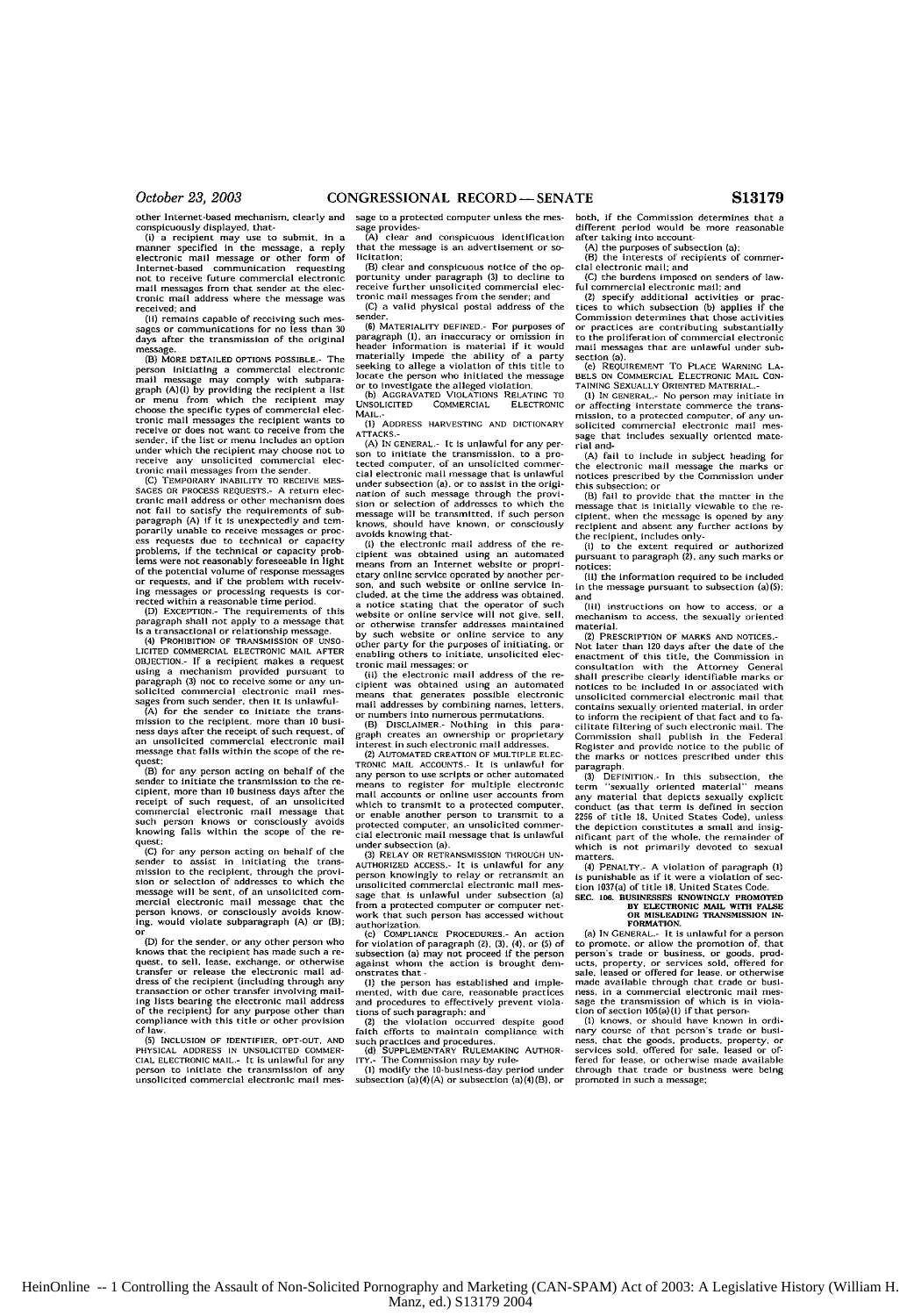other Internet-based mechanism, clearly and<br>conspicuously displayed, that.<br>(i) a recipient may use to submit, in a<br>manner specified in the message, a reply<br>electronic mail message or other form of<br>internet-based communicat mail messages from that sender at the elec-tronic mail address where the message was received; **and**

**(i1)** remains capable of receiving such mes-sages or communications for no less than **30** sages or communications for no less than 30<br>days after the transmission of the original

message. **(B) McRE DETAILED** OPTIONS **POSSIBLE.-** The person Initiating a commercial electronic<br>mail message may comply with subpara-<br>graph (A)(i) by providing the recipient a list<br>choose the specific types of commercial elec-<br>choose the specific types of commercial elec-<br>tro under *which* the recipient may choose *not* to receive any unsolicited commercial elec-tionic mail messages from the sender,

(C) **TEMPORARY** INABILITY TO RECEIVE **MES-SAGES** OR **PROCESS REQUESTS.-** A return riec-cronic mail address or other mechanism does not fall to satisfy the requirements of sub-<br>paragraph (A) if it is unexpectedly and tem-<br>porarily unable to receive messages or proc-<br>ess requests due to technical or capacity problems, if the technical or capacity prob-lems were not reasonably foreseeable in light of the potential volume of response messages or requests, and If the problem with receiving messages or processing requests is cor-rected within a reasonable time period.

**(D) EXCEPTION.-** The requirements of this

paragraph shall not apply to a message that **Is** a transactional or relationship message **(4) PROHIBITION** OF **TRANSMISSION OF** UNS0 **LICITED** COMMERCIAL **ELECTRONIC** MAIL **APTER OBJECTION,- If** a recipient makes a request using a mechanism provided pursuant to paragraph **(3)** not to receive some or any unsolicited commercial electronic mail messages from such sender, then It Is unlawful-<br>(A) for the sender to Initiate the trans

(A) for the sender to Initiate the trans-<br>mission to the recipient, more than 10 business days after the receipt **of** such request. of an unsolicited commercial electronic mail message that falls within the scope of the request;

(B) for any person acting on behalf **of** the sender to Initiate the transmission to the **re-**cipient, more than **10** business days after the receipt of such request, of an unsolicited commnercial electronic mail message that such person knows or consciously avoids boing falls within the scope of the **re** $quest;$ <br> $(C)$ 

**(C)** for any person acting on behalf of the<br>sender to assist in initiating the transto assist in Initiating the transoission to the recipient, through the provi-sion or selection of addresses to which the message will be sent, of an unsolicited Commercial electronic mail message that the person knows, or consciously avoids know-ing. would violate subparagraph (A) or (B). or

(D) for the sender, or any other person who<br>knows that the recluient has made such a re-<br>quest, to sell, lease, exchange, or otherwise<br>transfer or release the electronic mail ad-<br>dress of the recluient (including through a

**(5) INCLUSION OF IDENTIFIER, OPT-OUT, AND PHYSICAL ADDRESS IN UNSOLICITED COMMER-**<br>CIAL ELECTRONIC MAIL.- It is unlawful for any person to Initiate the transmission of any unsolicited commercial electronic mail message to a protected computer unless the message provides- (A) clear and conspicuous identification

that the message is an advertisement or **so**licitation;

(B) clear and conspicuous notice of the opportunity under paragraph **(3)** to decline to receive further unsolicited commercial electronic mail messages from the sender; **and**

**(C)** a **valid** physical postal address **of** the (6) MATERIALITY DEFINED.- For purposes of

(6) MATERIALITY DEFINED.- For purposes of<br>paragraph (1), an inaccuracy or omission in<br>header information is material if it would<br>materially impede the ability of a party<br>seeking to allege a violation of this title to<br>locat

**(1) ADDRESS** HARVESTING **AND** DICTIONARY **ATTACKS.- (A)** IN **GENERAL.-** It Is unlawful for any per-

son to initiate the transmission, to a protected computer, of an unsolicited conmer-clal electronic mail message that is unlawful under subsection (a). or to assist in the origination of such message through the provi-sion or selection of addresses **to** which the message will he transmitted, if such person knows, should have known, or consciously

avoids knowing that- **(i)** the electronic mail address of the re-cipient was obtained using an automated means from an Internet website or proprietary online service operated by another per-son, and such website or online service Included, at **the** time the address was obtained, a notice stating that the operator of such website or online service will not give, sell, or otherwise transfer addresses maintained by such website or online service to any other party for the purposes of initiating, or enabling others to initiate, unsolicited elec-

tronic mail messages: or (ii) the electronic mail address of tie re cipient was obtained using an automated means that generates possible electronic mail addresses by combining names, letters,

or numbers into numerous permutations.<br>
(B) DISCLAIMER.- Nothing in this para-<br>
graph creates an ownership or proprietary interest in such electronic mail addresses,

(2) **AUTOMATED** CREATION OF **MULTIPLE** ELtE TRONIC MAL **ACCOUNTS.-** It **is** unlawful **for** any person **to** use scripts or other automated means to register *for* multiple electronic mall accounts or online User accounts from which to transmit to a protected computer. or enable another person to transmit to a<br>protected computer, an unsolicited commer-<br>cial electronic mail message that is unlawful under subsection (a).

(3) RELAY OR RETRANSMISSION THROUGH **UN-**AUTHORIZED ACCESS.- It is unlawful for any person knowingly to relay or retransmit an unsolicited commercial electronic mail message that is unlawful under subsection (a) from a protected computer or computer network that such person has accessed without authorization. **(c) COMPLIANCE** PROCEDURES- An action

for violation of paragraph (2), (3), (4), or **(5)** of subsection (a) may not proceed if the person against whom the action is brought dens- onstrates that **-**

**(I)** the person has established and imple-mented, with due care, reasonable practices and procedures to effectively prevent vlola-

tions of such paragraph: and<br>
(2) the violation occurred despite good<br>faith efforts to maintain compliance with<br>
such practices and procedures. such practices and procedures.<br>(d) SUPPLEMENTARY RULEMAKING AUTHOR-

ITY.- The Commission may by rule-<br>
(1) modify the 10-business-day period under<br>
subsection (a)(4)(A) or subsection (a)(4)(B), or

both, if the Commission determines that a different period would be more reasonable different period would **be** more reasonable after taking into account-

(A) the purposes of subsection (a);<br>
(B) the interests of recipients of commer-<br>
cial electronic mail; and

(C) the burdens imposed on senders of lawful commercial electronic mail: and

**(2)** specify additional activities or prac-tices to which subsection **(b)** applies **if** the Commission determines that those activities or practices are contributing substantially to the proliferation of Comnercial electronic mail messages that are unlawful under sub-

section (a). **The Section COVERT TO PLACE WARNING LA-<br>BELS ON COMMERCIAL ELECTRONIC MAIL CON-**

BELS ON COMMERCIAL ELECTRONIC MAIL CON-<br>TAINING SEXUALLY ORIENTED MATERIAL.<br>(1) IN GENURAL. NO person may initiate in<br>or affecting interstate commerce the transmission, to a protected computer, of any un-<br>solicited commerc sage that includes sexually oriented material and-

fail to include in subject heading for the electronic mail message the marks on<br>notices prescribed by the Commission under<br>this subsection; or<br>(B) fail to provide that the matter in the

message that is initially viewable to the **re**ciplent, when the message is opened by any recipient and absent any further actions by the recipient, includes only- (I) to the extent required or authorized pursuant to paragraph (2), any such marks or

notices;

(it) the information required to be included in the message pursuant to subsection (a)(5); and

(it) instructions on how to access, or a mechanism to access, the sexually oriented material.

(2) PRESCRIPTION OF MARKS AND **NOTICES.-**

Not later than **120** days after the date of the enactment of this title, tie Commission in consultation with the Attorney General shall prescribe clearly identifiable marks or notices to **be** included In or associated with unsolicited commercial electronic mall that contains sexually oriented material, in order to inform the recipient of that fact and to facilitate filtering of such electronic inail. The Commission shall publish in tie Federal Register and provide notice to the public of the marks or notices prescribed under this paragraph.

**(3) DEFINITION.** In this subsection, the term "sexually oriented material" means 'sexually oriented material" means any material that depicts sexually explicit conduct (as that term Is defined in section **2256** of title **18.** United States Code), unless the depiction constitutes a small and insig-nificant part of the whole, the renmainder of which is not primarily devoted to sexual matters.

(4) PENALTY.- A violation of paragraph **(1)**<br>is punishable as if it were a violation of sec-<br>tion 1037(a) of title **18, United States Code.**<br>SEC. **106.** BUSINESSES KNOWINGLY PROMOTED

**BY ELECTRONIC MAIL WITH FALSE**<br> **OR MISLEADING TRANSMISSION IN-**<br> **FORMATION.** 

**FORMATION.**<br>
(a) IN GENERAL. - It is unlawful for a person to promote, or allow the promotion of, that<br>
person's trade or business, or goods, produced<br>
ucts, property, or services sold, offered for<br>
ucts, property, or se

(1) knows, or should have known in ordinary course of that person's trade or business, that the goods, products, property, or services sold, offered for sale, leased or of-<br>fered for lease, or ordinary of the services sold through that trade or business were being promoted in such a message;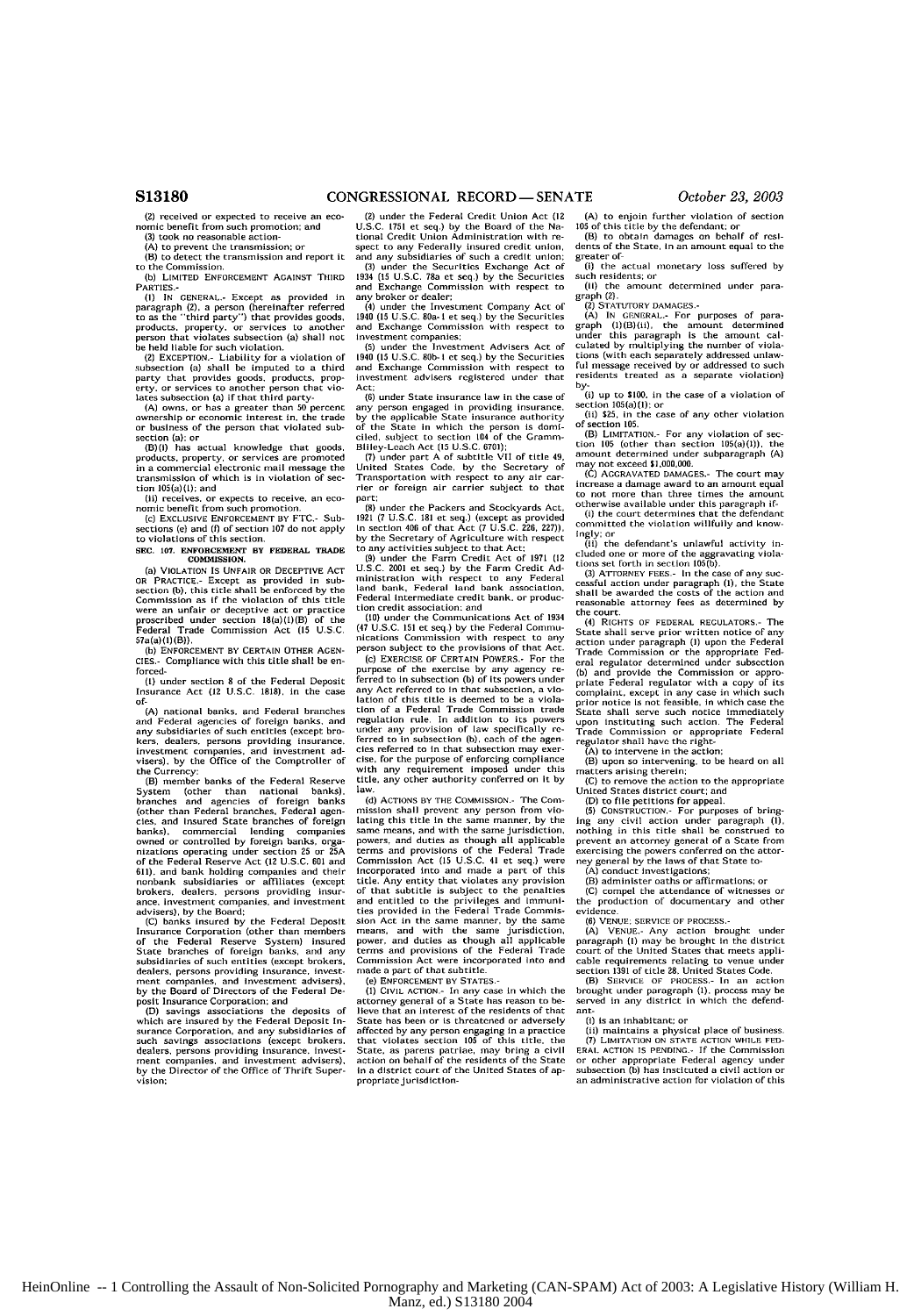#### **CONGRESSIONAL** RECORD- SENATE *October 23, 2003*

**(2)** received or expected to receive an economic benefit from such promotion: and (3) took no reasonable action- (A) to prevent the transmission: **or**

(B) to detect the transmission and report it to the Commission

**(b)** LIMITED **ENFORCEMENT** AGAINST THIRD PARTIES.-<br>(1) IN GENERAL.- Except as

**(I) IN GENERAl.-** Except as provided in paragraph (2), a person (hereinafter referred to as the "third party") that provides goods, products. property. or services to another person that violates subsection (a) shall not be held liable **for** such violation. (2) **EXCEPTION.-** Liability for a violation of

subsection (a) shall be imputed to a third party that provides goods, products. prop-erty. or services to another person that vio-lates sobsection (a) if that third party-

**(A) owns.** or has a greater than **50** percent ownership *or* economic Interest in, the trade or business of the person that violated sub-<br>section (a): or

section (a): or (B)(1) has actual knowledge that goods. products, property, or services are promoted in a commercial electronic mail message the transmission of which is in violation of section 105(a)(1); and

(ii) receives, or expects to receive, an economic benefit froni such promotion. **(c)** EXCLUSIVE **ENFORCEMENT** BY FTC.- Sub-

sections **(e)** and **(1)** of section **107** do not apply to violations of this section.

#### **NEC. 107. ENFORCEMIENT** BY **FEDERAJL** TRADE COMMISSION.

(a) VIOLATION IS UNFAIR OR **DECEPTIVE** ACT OR PRACTICE.- Except as provided in sub-<br>section (b), this title shall be enforced by the<br>Commission as If the violation of this title<br>were an unfair or deceptive act or practice proscribed under section 18(a)(l)(B) of the Federal Trade Commission Act **(15 U.SC.**  $57a(a)(1)(B)$ 

**(b) ENFORCEMENT By CERTAIN** OTHER **AcEN-CIES.-** Compliance with this title shall be enforced-

**(I)** under section **8** of the Federal Deposit Insurance Act **(12 U.S.C.** 1818), in the case **of-**

.-<br>(A) national banks, and Federal branches<br>nd Federal agencies of foreign banks, and and Federal agencies of foreign banks, and any subsidiaries of such entitles (except brokers, dealers, persons providing insurance, investment companies, and investment ad visers), by the Office of the Comptroller of the Corrency: (B) member banks of the Federal Reserve

System (other than national banks), branches and agencies of foreign banks (other than Federal branches, Federal agen-ties, and insured State branches of foreign banks), commercial lending companies owned or controlled by foreign banks, orga-nizations operating under section **25** or **25A** of the Federal Reserve Act (12 U.S.C. **601** and **61i).** and bank holding companies and their nonbank subsidiaries or affiliates (except brokers, dealers, persons providing insurance, investment companies, and investment

advisers), **by** the Board: (C) banks insured **by** the Federal Deposit Insurance Corporation (other than members of the Federal Reserve System) insured State branches of foreign banks, and any subsidiaries of such entities (except brokers. dealers, persons providing insurance, invest-ment companies, and Investment advisers). by the Board of Directors of the Federal De-posit Insurance Corporation; and

**(D)** savings associations the deposits of which are insured by the Federal Deposit In-s-ranre Corporation, and any subsidiaries of such savings associations (except brokers. dealers, persons providing insurance. Invest-ment companies, and investment advisers), by the Director of the Office of Thrift Supervision:

(2) under the Federal Credit Union Act **(12**

U.SC **1751** et seq.) by the Board of the **Na-**tional Credit Union Administration with *re-*spect to any Federally insured credit union, and any subsidiaries of **such** a credit union;

**(3)** under the Securities Exchange Act of 1934 **(15** U.S.C. 78a et seq.) by the Securities and Exchange Commission with respect to any broker or dealer:

(4) under the Investment Company Act of 1940 **(15** U.S.C. **0a-I** et **seq.)** by the Securities and Exchange Commission with respect to investment companies; **(5)** under the Investment Advisers Act of

1940 **(15** U.S.C. **80b-** I ect seq.) by the Securities and Exchange Commission with respect to investment advisers registered under that Act;

**(6)** under State insurance law in the case of any person engaged in providing insurance,<br>by the applicable State insurance authority<br>of the State in which the person is domi-

ciled, subject to section 104 of the Gramm-<br>Billey-Leach Act (15 U.S.C. 6701);<br>(7) under part A of subtitle VII of title 49,<br>United States Code, by the Secretary of<br>Transportation with respect to any alr car-<br>rier or forei part:

**()** under the Packers and Stockyards Act, **1921** (7 U.S.C. 181 et seq.) (except as provided n section **400** of that Act **(7** U.S.C. **226, 227)),** by the Secretary of Agriculture with respect to any activities subject to that Act; (9) under the Farm Credit Act of 1971 (12

**U.S.C.** 2001 et seq) by the Farm Credit **Ad-**ministration with respect to any Federal land bank, Federal land bank association, Federal intermediate credit bank. or production credit association: and

**(10)** under the Communications Act of 1934 (47 U.S.C. **151** et seq.) by the Federal Comma-nications Commission with respect to any person subject to the provisions of that Act.

**(c)** EXERCISE OF **CERTAIN** POWERS.- For the purpose **of** the exercise by any agency re-ferred to in subsection **(b)** of its powers under any Act referred to In that subsection, a violation of this title is deemed to be a violation of a Federal Trade Commission trade regulation rule. In addition to its powers undei aay provision of law specifically referred to **in** subsection **(b),** each of **the** *agen*cies referred to in that subsection may exer-cise, for the purpose of enforcing compliance with any requirement imposed under this title, any other authority conferred on it **by** law,

**(d) ACTIONS** BY THE COMMISSION.- The Commission shall prevent any person from vio-<br>lating this title in the same manner, by the<br>same means, and with the same jurisdiction,<br>powers, and duties as though all applicable terms and provisions of the Federal Trade Commission Act **(15** U.S.C. 41 et **seq.)** were incorporated into and made a part of this title. Any entity that violates any provision of that subtitle is subject to the penalties and entitled to the privileges and immuni-ties provided in the Federal Trade Commission Act in the same manner, by the same<br>means, and with the same jurisdiction,<br>power, and duties as though all applicable<br>terms and provisions of the Federal Trade<br>Commission Act were incorporated into and<br>made a part of

(e) ENFORCEMENT BY **STATES.-**

**(1) CIVIL ACTION.-** In any case in which the attorney general of a State has reason to **be-**lieve that an interest of the residents of that State has been or is threatened *or* adversely affected by any person engaging in a practice that violates section **109** of this title, the State. as patens pacriae, may bring a civil action on behalf of the residents of the State in a district court of the United States of ap-<br>propriate jurisdiction-

(A) to enjoin further violation of section

**105** of this title **by** the defendant; or (B) to obtain damages on behalf of resi-dents of the State, In an amount equal to the greater of-<br>(i) the actual monetary loss suffered by

such residents; or **(11)** the amount determined under para-

graph (2).<br>(2) STATUTORY DAMAGES.

(2) STATUTORY DAMAGES.<br>
(A) IN GENERAL. For purposes of para-<br>
graph (1)(B)(ii), the amount determined<br>
under this paragraph is the amount call<br>
cluded by multiplying the number of viola-<br>
cluded by multiplying the number residents treated as a separate violation)

**by-** (i) up to \$100. in the case of a violation of

section 105(a)(1): or<br>(ii) \$25, in the case of any other violation<br>of section 105

of section **105.** (B) LIMITATION.- For any violation of sec-tion **105** (other than section 15(a)(1)), the amount determined under subparagraph **(A)** may **non** exceed **\$l,00l,000**

(C) AGGRAVATED **DAMAGES.-** The court may increase **a** damage award to an amount equal

to not more than three times the amount otherwise available under this paragraph if-<br>(i) the court determines that the defendant committed the violation willfully and know-

Ingly; or (i) the defendant's unlawful activity included one or more of the aggravating viola-tons set forth in section **105(b).**

**(3)** ATTORNEY **FEES.-** in the case of **any** suc-cessful action under paragraph **(1),** the State shall be awarded the costs of the action and reasonable attorney fees as determined **by** the court.<br>(4) RIGH

RIGHTS OF FEDERAL REGULATORS.- The State shall serve prior written notice of any action under paragraph (1) upon the Federal Trade Commission or the appropriate Federal regulator determined under subsection<br>(b) and provide the Commission or appropriate Federal regulator with a copy of its<br>complaint, except in any case in which such complaint, ex upon Instituting such action. The Federal Trade Commission or appropriate Federal regulator shall have the right- **(A)** to Intervene **in** the action;

(B) upon so intervening, to be heard **on** all

matters arising therein;<br>
(C) to remove the action to the appropriate<br>United States district court; and

(B) to file pettitions for appeal.<br>
(B) CoNSTRUCTON- For purposes of bring-<br>
(B) CONSTRUCTON- For purposes of bring-<br>
ing any civil action under paragraph (I),<br>
prevent an attorney general of a State from<br>
exercising the

(A) conduct Investigations;

(B) administer oaths or affirmations; or **(C)** compel the attendance **of** witnesses or the production of documentary and other

evidence.

**(6) VENUE;** SERVICE OF **PROCESS.- (A) VENUE.-** Any action brought under paragraph (I) may be brought in the district court of the United States that meets applicable requirements relating to venue under section **1391** of title **28,** United States Code.

(B) SERVICE OF **PROCESS- In** an action brought under paragraph (1), process may be<br>served in any district in which the defend-<br>ant-

(i) is an inhabitant; or

(ii) maintains a physical place of business. (7) LIMITAION **ON** STATE **ACTION WHILE FED-**ERAL **ACTION IS** PENDING.- If the Commission or other appropriate Federal agency under subsection **(b)** has instituted a civil action or an administrative action for violation of this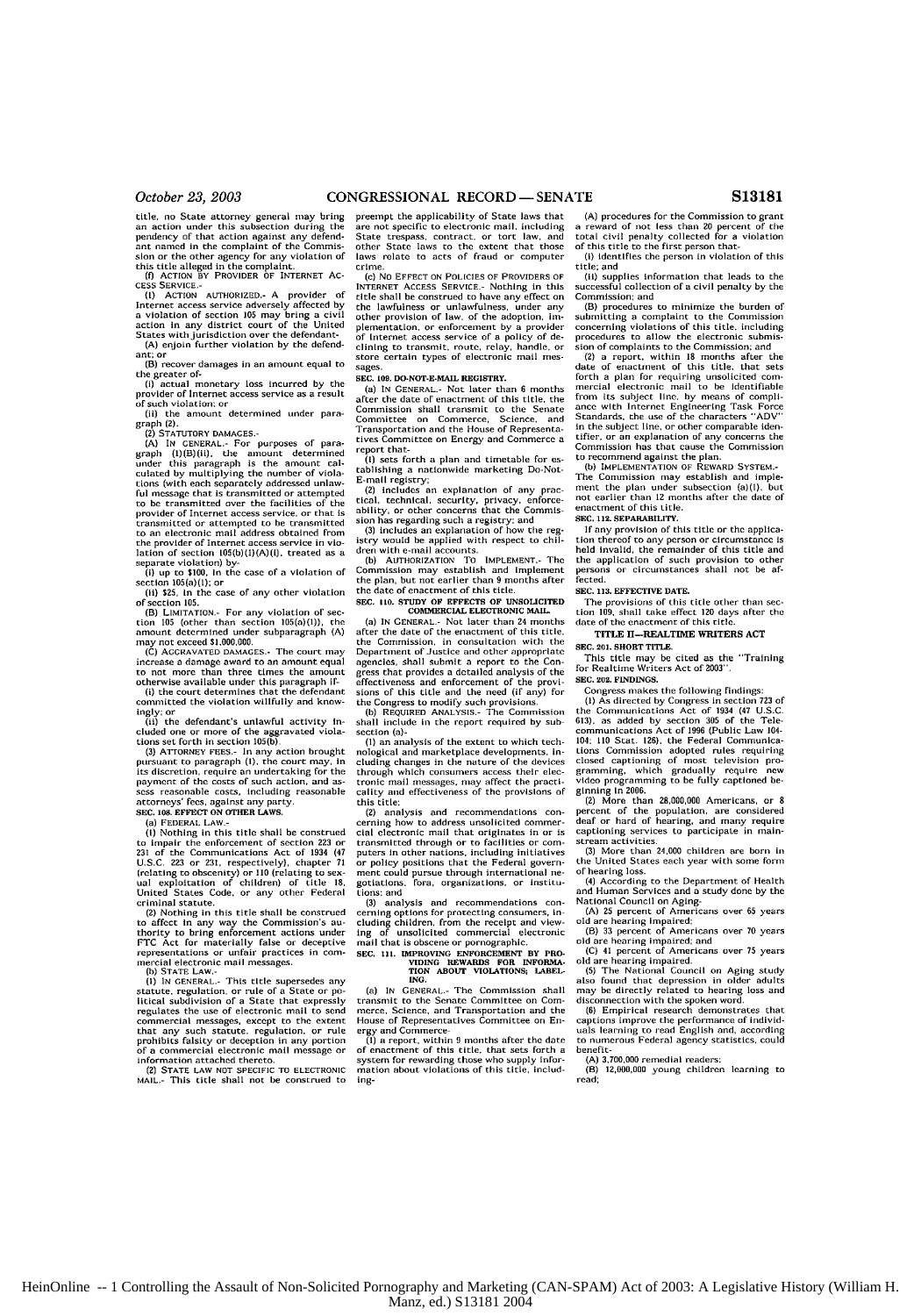title, no State attorney general may bring an action under this subsection during the pendency of that action against any defend-ant named in the complaint of the Commission or the other agency for any violation of<br>this title alleged in the complaint.<br>(f) ACTION BY PROVIDER OF INTERNET AC-<br>CESS SERVICE.-

**(I) ACTION** AUTHORIZED.- **A** provider Internet access service adversely affected by a violation of section **15** may bring a civil action in any district court of the United a violation of section for may dring a creation in any district court of the United States with jurisdiction over the defendant (A) enjoin further violation by the defend-

ant; or (B) recover damages in an amount equal to

the greater of- $(3)$  actual m (i) actual monetary loss incurred by the

provider of Internet access service as a result of such violation: or (ii) the amount determined under para-

graph (2).<br>(2) STATUTORY DAMAGES.

(2) STATUTORY DAMAGES.<br>  $(A)$  IN CENERAL. For purposes of para-<br>  $(A)$  IN CENERAL. For purposes of para-<br>
under this paragraph is the amount calculated by multiplying the number of viola-<br>
culated by multiplying the number to be transmitted over the facilities of the Provider of Internet access service, or that is transmitted or attempted to he transmitted to an electronic mail address obtained from the provider of Internet access service in vio-lation of section 105(b)(H)(A)(i). treated **as** a

separate violation) by-<br>(i) up to \$100, in the case of a violation of<br>section 105(a)(1); or<br>(ii) \$25, in the case of any other violation

of section **105.**

(B) **LIMITATION-** For any violation of section 105 (other than section 105(a)(1)), the amount determined under subparagraph **(A)**<br>may not exceed **\$1,000,000**.

**(C)** AGcRAVATED **DAMAGES.-** The court may increase a damage award to an amount equal<br>to not more than three times the amount<br>otherwise available under this paragraph if-

(i) the court determines that the defendant committed the violation willfully and know-

**ingly;** or (ii) the defendant's unlawful activity in-cluded one or more of the aggravated viola-tions set forth in section **105(b).**

**(3)** ATTORNEY **FEES.-** in any action brought pursuant to paragraph **(1),** the court may, in its discretion. require an undertaking for the payment of the costs of such action, and **as**sess reasonable costs, including reasonable attorneys' fees, against any party. SEC. 108. EFIECT **ON OTHER** LAWS.

**(a)** FEDERAL LAW-

(i) Norbing in this title shall be construed<br>(i) Norbing in this title shall be construed<br>(21 of the Communications Act of 1934 (47<br>(21 J. S.C. 223 or 231, respectively), chapter 71<br>(relating to obscenity) or 110 (relating criminal statute.

Contains accurate the shall be construed<br>(2) Nothing in this title shall be constructed<br>to affect in any way the Commission's authority to bring enforcement actions under<br>FTC Act for materially false or deceptive<br>represent  $mercial$  electronic mail messages.

**(I) IN GENERAL.-** This title supersedes any

Statute. regulation. or rule of a State or **po-**litical subdivision of a State that expressly regulates the use of electronic mail to send commercial messages, except to the extent that any such statute, regulation, or rule prohibits falsity or deception in any portion **of** a commercial electronic mail message or information attached thereto.

(2) **STATE** LAW **NOT** SPECIFIC TO **ELECTRONIC** MAIL.- This title shall not be construed to

preempt the applicability of State laws that are not specific to electronic mail, including<br>State trespass, contract, or tort law, and State trespass. contract, or tort law, and other State laws to the extent that those laws relate to acts of fraud or computer

crime. **(c)** No **EFFECT** ON **POLICIES** OF PROVIDERS OF INTERNET **ACCESS SERVICE.-** Nothing in this INTERNET ACCESS SERVILE. **However, SERVICE**<br>title shall be construed to have any effective on the **construct** on the **construct** the lawfulness or unlawfulness, under any<br>other provision of law, of the adoption, implementatlon, or enforcement by a provider of Internet access service of a policy of de-clining to transmit, route, relay, handle, or store certain types of electronic mail messages.

#### **SEC. 109. DO-NOT-E-MAIL REGISTRY.**

(a) **IN GENERAL.-** Not later than **6** months after the date of enactment of this title, the Commission shall transmit to the Senate Committee on Commerce, Science, and Transportation and the House of Representatives Committee on Energy and Commerce a report that-

**(I)** sets forth a plan and timetable for es-tablishing a nationwide marketing Do-Not-E-mail registry;<br>(2) includes a

...<br>An explanation of any practical, technical, security, privacy, enforce-ability, or other concerns that the Commis-

sion has regarding such a registry: and (3) includes an explanation of how the reg-istry would be applied with respect to chil-dren with e-moail accounts. **(b)** AUTHORIZATION TO **IMPLEMENT.-** The

Commission may establish and Implement the plan, but not earlier than **9** months after the date of enactment of this title.

### **SEC. 10. STUDY** OF **EFFECTS** OF **UNSOLICITED** COMMERCIAL **ELECTRONIC MAIL**

(a) **IN GENERAL.-** Not later than 24 months after the date of the enactment of this the Commission. in consultation with the Department of Justice and other appropriate agencies, shall submit a report to the Con-gress that provides a detailed analysis of the effectiveness and enforcement of the provi-

sions of this title and the need (if any) for the Congress to modify such provisions. **(b)** REQUIRED **ANALYSIS.-** The Commission shall include in the report required **by** sub section (a)-

(1) an analysis of the extent to which tee nological and marketplace developments. including changes in the nature of the devices through which consumers access their elec-tronic mail messages, may affect the practi-cality and effectiveness of the provisions of this title:

(2) analysis and recommendations concerning how to address unsolicited commercial electronic mail that originates in or is transmitted through or to facilities or computers in other nations, including initiatives policy positions that the Federal govern-<br>ment could pursue through international ne-<br>gotiations. fora, organizations, or institutions: and

(3) analysis and recommendations concerning options for protecting consumers, in cluding children, from the receipt and view-

ing of unsolicited commercial electronic mail that is obscene or pornographic. **SEC. 111. IMPROVING ENFORCEMENT** BY PRO- **VIDING** REWARDS **FOR INFORMA- TION ABOUT VIOLATIONS;** LABEL-*ING.*

**(a) IN GENERAL.-** The Commission shall transmit to the Senate Committee on Com-merce, Science, and Transportation and the House of Representatives Committee on **En**ergy and Commerce **(1)** a report, within **9** months after the date

of enactment of this title, that sets forth a system for rewarding those who supply infor-mation about violations of this title, including-

(A) procedures for the Commission to grant a reward of not less than 20 percent of the total civil penalty collected for a violation of this title to the first person that-

(i) identifies the person in violation of this title; and (ii) supplies information that leads to the

successful collection of a civil penalty by the<br>Commission: and

Commission; and<br>
(B) procedures to minimize the burden of<br>
submitting a complaint to the Commission<br>
concerning violations of this title, including<br>
procedures to allow the electronic submission<br>
sion of complaints to the

(2) a report, within **18** months after the date of enactment of this title, that sets forth a plan for requiring unsolicited com-<br>mercial electronic mail to be identifiable<br>from its subject line, by means of compli-<br>ance with Internet Engineering Task Force<br>Standards, the use of the characters "ADV"<br>in the tifier, or an explanation of any concerns the Commission has that cause the Commission to recommend against the plan.

**(b) IMPLEMENTATION** OF REWARD SYSTEM.- The Commission may establish and imple-ment the plan under subsection (a)(l), but not earlier than **12** months after the date of enactment of this title.

**SEC. 112.** SEPARABILITY.

If any provision of this title or the applica-tion thereof to any person or circumstance is held invalid, the remainder of this title and the application of such provision to other persons or circumstances shall not be afperson:<br>fected.

#### **SEC. 113. EFFECTIVE DATE.**

The provisions **of** this title other than section **109,** shall take effect 120 days after the date of the enactment of this ritle.

TITLE 11-REALTIME WRITERS ACT

**SEC. 201.** SHORT TITLE.

This title may be cited as the "Training for Realtime Writers Act of 2003". **SEC. 202. FINDINGS.**

Congress makes the following findings:

**(1)** As directed **by** Congress in section **723** of the Communications Act of 1934 (47 **U.S.C.** 613), as added **by** section **305** of the Tele-communications Act of 1996 (Public Law 104- 104. 110 Stat. 128), the Federal Communica-<br>tions Commission adopted rules requiring<br>closed captioning of most television pro-<br>video programming, which gradually require new<br>video programming to be fully captioned be-<br>glin

(3) More than 24.000 children are born in the United States each year with some form

of hearing loss. (4) According to the Department of Health and Human Services and a study done by the National Council on Aging-

**(A) 25** percent of Americans over **65** years old are hearing Impaired: (B) 33 percent of Americans over **70** years

old are hearing impaired; and<br>
(C) <sup>4</sup>1 percent of Americans over *75* years<br>
old are hearing impaired.<br>
(5) The National Council on Aging study<br>
also found that depression in older adults

may be directly related to hearing loss and disconnection with the spoken word. **(6)** Empirical research demonstrates that

captions lmprove the performance of individ-uals learning to read English and, according to numerous Federal agency statistics, could benefit-

(A) **3,700,000** remedial readers:

**(i) 12.000,000** young children learning to read;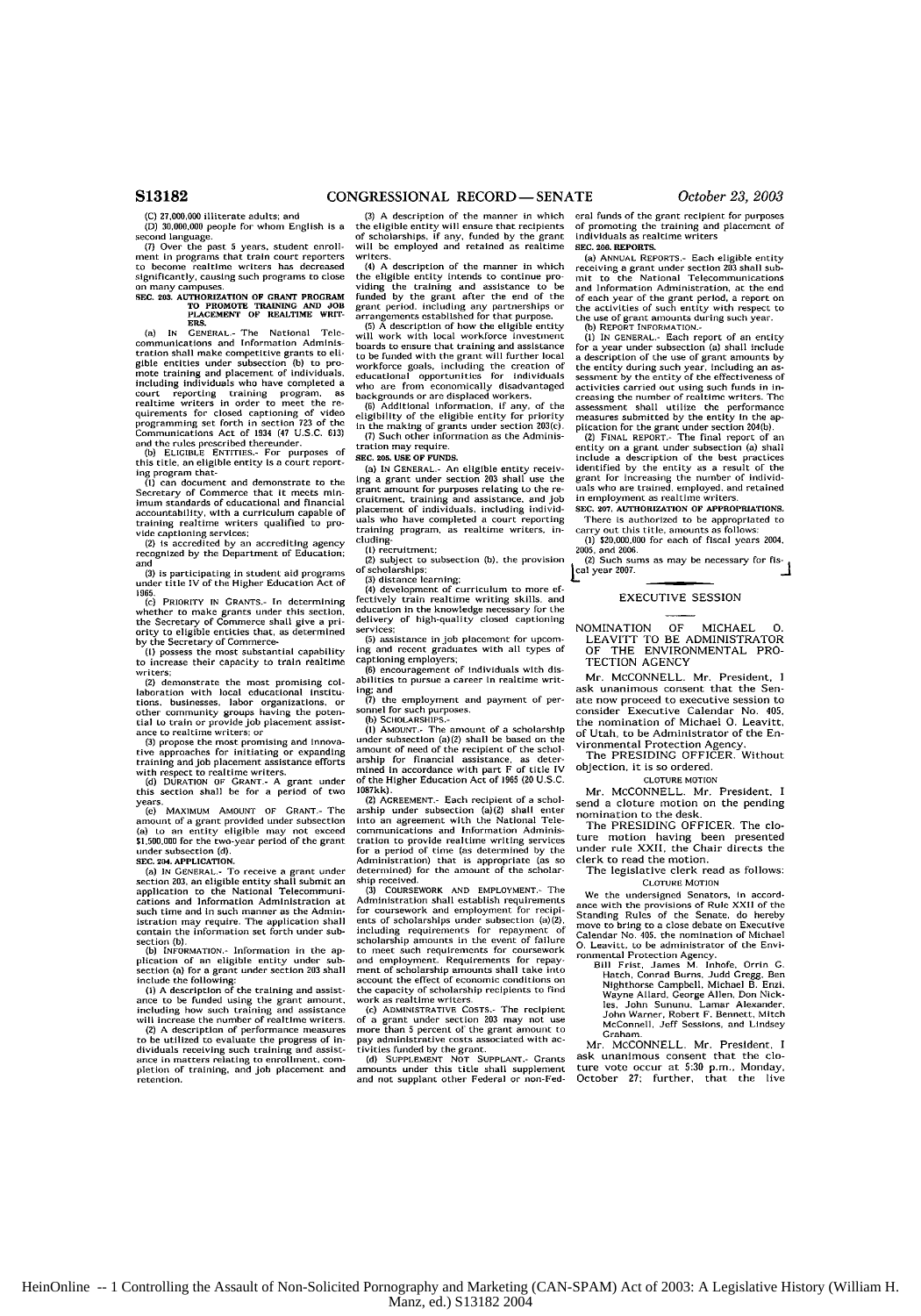**(C) 27,000.000** illiterate adults, and **(D) 30,000,000** people **for** whnm English is a

second language. **(7)** Over the past **5** years, student earoll-

moet in programs that train court reporters to become realtime writers has decreased significantly, causing such programs to close on many campuses.

## **SEC. 203. AUTHORIZATION OF GRANT PROGRAM <b>TO PROMOTE TRAINING AND JOB PLACEMENT** OF REALTIME WRIT-<br>**END.**<br>**END.**

**(a) IN GENERAl.-** The National Tele communications and Information Administration shall make competitive grants **to** eli-gible entitles under subsection **(b)** to pro-mote training and placement of individuals. including individuals who have completed a court reporting training program, as<br>realtime writers in order to meet the re-<br>quirements for closed captoining of video<br>programming set forth in section 723 of the<br>Communications Act of 1934 (47 U.S.C. 613)<br>and the rules

ing program that- **(1)** can document and demonstrate to the Secretary of Commerce that It meets minimum standards of educational and financial accountability, with a curriculum capable of<br>training realtime writers<br>vide captioning services;<br>(2) is accredited by an accrediting agency<br>recognized by the Department of Education;

and

**(3)** is participating in student aid programs under title IV of the Higher Education Act of **1965,**

**(r)** PRIORITY **IN GRANTS.- In** determining whether to make grants under this section, the Secretary of Commerce shall give a pri-ority to eligible entities that, as determlned

by the Secretary of Commerce- (I) possess the most substantial capability to increase their capacity to train realtime writers; (2) demonstrate the most promising **col-**

laboration with local educational institu-<br>tions. businesses. labor organizations, or<br>other community groups having the poten-<br>tial to train or provide job placement assistance<br>to realtime writers; or<br>(3) croose the most p

tive approaches for initiating **or** expanding training and Job placement assistance efforts

**with** respect to realtime writers. **(d)** DURATION **OF** GRANT.- A grant under this section shall be for a period of two

 $y$ ea.<br> $(e)$ **MAXIMUM AMOUNT OF GRANT- The** amount **of** a grant provided under subsection (a) to an entity eligible may not exceed **\$1,500,00 for** the two-year period of the grant under subsection **(d). SEC. 204. APPLICATION.**

(a) **IN GENERAL.-** To receive a grant under section 203, an eligible entity shall submit an application to the National Telecommuni-cations and Information Administration at such time and in such manner as the Admin-<br>istration may require. The application shall<br>contain the information set forth under subsection **(b)**.<br> **(b)** INFORMATION - Information in the an-

plication of an eligible entity under sub-section (a) for a grant under section **203** shall

include the following:<br>(1) A description of the training and assistance<br>to be funded using the grant amount,<br>including how such training and assistance<br>will increase the number of realtlme writers.

(2) A description of performance measures to be utilized to evaluate the progress of individuals receiving such training and assist-<br>ince in matters relating to enrollment, com-<br>pletion of training, and job placement and<br>retention.

**(3)** A description of the manner in which the eligible entity will ensure that recipients of scholarships, if any, funded **by** the grant will **be** employed and retained as realtime

writers.<br>(4) A description of the manner in which (4) A description of the manner in which<br>the eligible entity intends to continue pro-<br>viding the training and assistance to be<br>funded by the grant after the end of the<br>grant period, including any partnerships or<br>arrangemen

**(5)** A description of how the eligible entity will work with local workforce investment boards to ensure that training and assistance<br>to be funded with the grant will further local<br>workforce goals, including the creation of<br>educational opportunities for individuals<br>who are from economically disadvantaged<br>back

(B) Additional information, if any, of the eligibility of the eligible entity for priority in the making of grants under section 203(c). **(7)** Such other information as tire Adminis-

tration may require.

#### **SEC. 20& USE OF FUNDS.**

(a) **IN GENERAL-** An eligible entity receiv-ing a grant under section **203** shall use the grant amount for purposes relating to the **re-**cruitment, training and assistance, and job placement of individuals, including individ-uals who have completed a court reporting training program, as realtime writers, including- **(I)** recrultment

**(2)** subject to subsection **(b).** the provision of scholarships; **(3)** distance learning; **(4)** development of curriculum to more ef-

fectively train realtime writing skills, and education in the knowledge necessary for the delivery of high-quality closed captioning services:

(5) assistance in **job** placement for upcom-ing and recent graduates with all types of captioning employers;

**(6)** encouragement of individuals with dis-abilities to pursue a career In realtime writ-

Ing; and (7) the employment and payment of per-

**SCHOLARSHIPS.**<br> **(b) SCHOLARSHIPS.-**<br> **(1) AMOUNT.- The amount of a scholarship<br>
under subsection (a)(2) shall be based on the** amount of need of the recipient of the schol- .rship for financial assistance, as deter-mined In accordance with part F **of** title IV of the Higher Education Act of **1965** (20 **US.C.**

1287kk). (2) **AGREEMENT.-** Each recipient of a scholarship under subsection (a)(2) shall enter into an agreement with the National **Tele-**communications and Information Administration to provide realtime writing services for a period of time (as determined by the Administration) that is appropriate (as so determined) for the amount of the scholarship received.

**(3)** COURSEWORK **AND** EMPLOYMENT.- The AD EMPLOTMENT-THE<br>Administration shall establish requirements<br>or coursework and employment for recipifor coursework and employment ents of scholarships under subsection (a)(2),<br>including requirements for repayment of<br>scholarship amounts in the event of failure<br>cto meet such requirements for conservancia<br>and employment. Requirements for repay-<br>ment of the capacity of scholarship recipients to find work as realtime writers. **(r)** ADMINISTRATIVE **COSTS.-** The recipient of a grant under section **203** may not use

more than 5 percent of the grant amount to<br>pay administrative costs associated with ac-<br>tivities funded by the grant.<br>(d) SUPPLEMENT **NOT** SUPPLANT.- Grants

amounts under this title shall supplement and and not supplant other Federal or non-Federal funds of the grant recipient **for** purposes of promoting **the** training and placement of individuals as realtime writers **SEC. 206.** REPORTS.

(a) ANNUAL REPORTS.- Each eligible entity receiving a grant under section **203** shall sub-mit to the National Telecommunications and Information Administration, at the end of each year of the grant period, a report on<br>the activities of such entity with respect to<br>the use of grant amounts during such year.<br>(b) REPORT INFORMATION.-

**(1)** IN GENERAL.- Each report of an entity for a year under subsection (a) shall include a description of the use of grant amounts by<br>the entity during such year, including an as-<br>sessment by the entity of the effectiveness of<br>activities carried out using such funds in in-<br>creasing the number of realitme write

plication for the grant under section 204(b).<br>(2) FINAL REPORT.- The final report of an<br>entity on a grant under subsection (a) shall<br>include a description of the best practices identified by the entity as a result of the grant for increasing the number of individ-uals who are trained, employed, and retained in employment as realtime writers.

**SEC. 207.** AUTHORIZATION OP APPROPRIATIONS. There is authorized to be appropriated to

carry out this title, amounts as follows: (l) \$20,000,000 for each of fiscal years 2004, 2005, and 2006.<br>
(2) Such sums as may be necessary for fls-

cal year 2007.

### EXECUTIVE SESSION

NOMINATION OF MICHAEL **0.** LEAVITT TO BE ADMINISTRATOR OF THE ENVIRONMENTAL PRO-TECTION AGENCY

Mr. McCONNELL. Mr. President, **I** ask unanimous consent that the Senate now proceed to executive session to<br>consider Executive Calendar No. 405. Executive Calendar No. 405, the nomination of Michael **0.** Leavitt, of Utah, to be Administrator of the En-

vironmental Protection Agency. The PRESIDING OFFICER. Without objection, it is so ordered.

**CLOTURE** MOTION

Mr. MCCONNELL. Mr. President, I send a cloture motion on the pending nomination to the desk.

The PRESIDING OFFICER. The cloture motion having been presented under rule XXII, the Chair directs the clerk to read the motion.

The legislative clerk read as follows: CLOTURE **MOTION**

We the undersigned Senators, In accordance with the provisions of Rule **XXII** of the Standing Rules of the Senate, do hereby move to bring to a close debate on Executive Calendar No. 405, the nomination of Michael **0.** Leavitt. to be adrinistrator of the Envi-

ronmental Protection Agency. **gill** Frist, James M Inhafe, Orrin **G.** Hatch, Conrad Earns Judd Gregg, Sen Nlghthorse Campbell, Michael B. Enzi, Wayne Allard, George Allen, Don Nick- Ins, John Sununu, Lamar Alexander, John Warner, Robert **F.** Bennett, Mitch McConnell, Jeff Sessions, and Lindsey Graham

Mr. MCCONNELL. Mr. President, I ask unanimous consent that the clo-ture vote occur at **5:30** p.m., Monday, October **27;** further, that the live